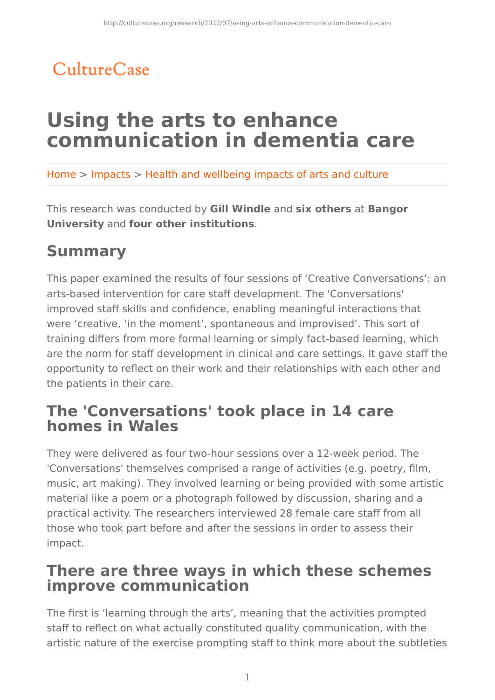## CultureCase

# **Using the arts to enhance communication in dementia care**

Home > Impacts > Health and wellbeing impacts of arts and culture

This research was conducted by **Gill Windle** and **six others** at **Bangor University** and **four other institutions**.

## **Summary**

This paper examined the results of four sessions of 'Creative Conversations': an arts-based intervention for care staff development. The 'Conversations' improved staff skills and confidence, enabling meaningful interactions that were 'creative, 'in the moment', spontaneous and improvised'. This sort of training differs from more formal learning or simply fact-based learning, which are the norm for staff development in clinical and care settings. It gave staff the opportunity to reflect on their work and their relationships with each other and the patients in their care.

### **The 'Conversations' took place in 14 care homes in Wales**

They were delivered as four two-hour sessions over a 12-week period. The 'Conversations' themselves comprised a range of activities (e.g. poetry, film, music, art making). They involved learning or being provided with some artistic material like a poem or a photograph followed by discussion, sharing and a practical activity. The researchers interviewed 28 female care staff from all those who took part before and after the sessions in order to assess their impact.

### **There are three ways in which these schemes improve communication**

The first is 'learning through the arts', meaning that the activities prompted staff to reflect on what actually constituted quality communication, with the artistic nature of the exercise prompting staff to think more about the subtleties